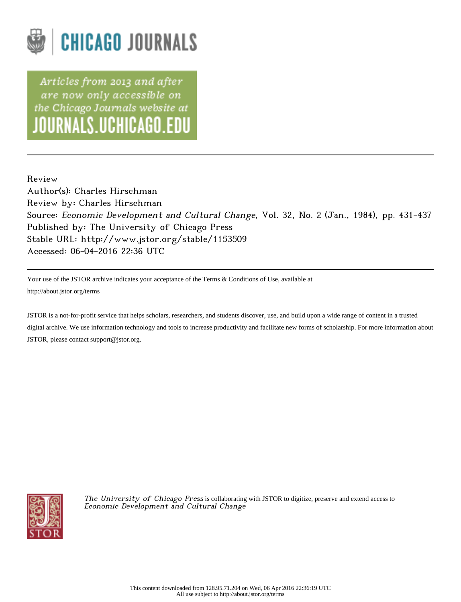

Articles from 2013 and after are now only accessible on the Chicago Journals website at JOURNALS.UCHICAGO.EDU

Review Author(s): Charles Hirschman Review by: Charles Hirschman Source: Economic Development and Cultural Change, Vol. 32, No. 2 (Jan., 1984), pp. 431-437 Published by: The University of Chicago Press Stable URL: http://www.jstor.org/stable/1153509 Accessed: 06-04-2016 22:36 UTC

Your use of the JSTOR archive indicates your acceptance of the Terms & Conditions of Use, available at http://about.jstor.org/terms

JSTOR is a not-for-profit service that helps scholars, researchers, and students discover, use, and build upon a wide range of content in a trusted digital archive. We use information technology and tools to increase productivity and facilitate new forms of scholarship. For more information about JSTOR, please contact support@jstor.org.



The University of Chicago Press is collaborating with JSTOR to digitize, preserve and extend access to Economic Development and Cultural Change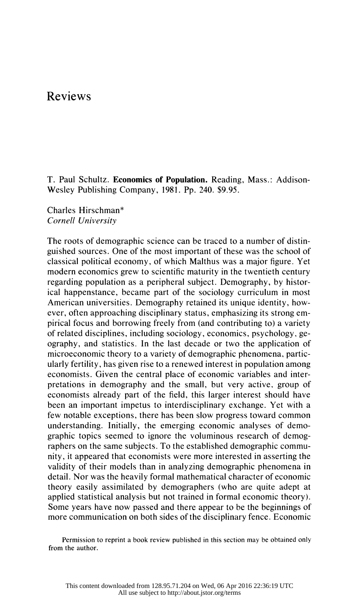T. Paul Schultz. Economics of Population. Reading, Mass.: Addison- Wesley Publishing Company, 1981. Pp. 240. \$9.95.

 Charles Hirschman\* Cornell University

 The roots of demographic science can be traced to a number of distin guished sources. One of the most important of these was the school of classical political economy, of which Malthus was a major figure. Yet modern economics grew to scientific maturity in the twentieth century regarding population as a peripheral subject. Demography, by histor ical happenstance, became part of the sociology curriculum in most American universities. Demography retained its unique identity, how ever, often approaching disciplinary status, emphasizing its strong em pirical focus and borrowing freely from (and contributing to) a variety of related disciplines, including sociology, economics, psychology, ge ography, and statistics. In the last decade or two the application of microeconomic theory to a variety of demographic phenomena, partic ularly fertility, has given rise to a renewed interest in population among economists. Given the central place of economic variables and inter pretations in demography and the small, but very active, group of economists already part of the field, this larger interest should have been an important impetus to interdisciplinary exchange. Yet with a few notable exceptions, there has been slow progress toward common understanding. Initially, the emerging economic analyses of demo graphic topics seemed to ignore the voluminous research of demog raphers on the same subjects. To the established demographic commu nity, it appeared that economists were more interested in asserting the validity of their models than in analyzing demographic phenomena in detail. Nor was the heavily formal mathematical character of economic theory easily assimilated by demographers (who are quite adept at applied statistical analysis but not trained in formal economic theory). Some years have now passed and there appear to be the beginnings of more communication on both sides of the disciplinary fence. Economic

 Permission to reprint a book review published in this section may be obtained only from the author.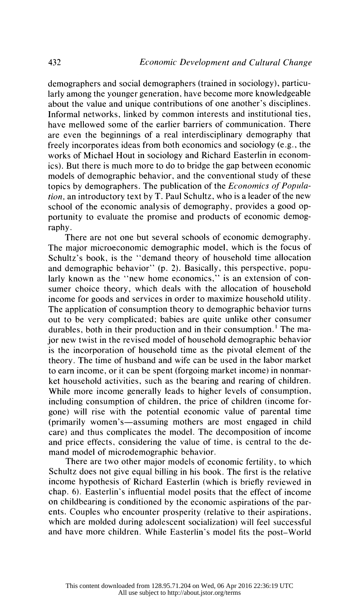demographers and social demographers (trained in sociology), particu larly among the younger generation, have become more knowledgeable about the value and unique contributions of one another's disciplines. Informal networks, linked by common interests and institutional ties, have mellowed some of the earlier barriers of communication. There are even the beginnings of a real interdisciplinary demography that freely incorporates ideas from both economics and sociology (e.g., the works of Michael Hout in sociology and Richard Easterlin in econom ics). But there is much more to do to bridge the gap between economic models of demographic behavior, and the conventional study of these topics by demographers. The publication of the *Economics of Popula* $tion$ , an introductory text by T. Paul Schultz, who is a leader of the new school of the economic analysis of demography, provides a good op portunity to evaluate the promise and products of economic demog raphy.

 There are not one but several schools of economic demography. The major microeconomic demographic model, which is the focus of Schultz's book, is the "demand theory of household time allocation and demographic behavior" (p. 2). Basically, this perspective, popularly known as the "new home economics," is an extension of con sumer choice theory, which deals with the allocation of household income for goods and services in order to maximize household utility. The application of consumption theory to demographic behavior turns out to be very complicated; babies are quite unlike other consumer durables, both in their production and in their consumption.' The ma jor new twist in the revised model of household demographic behavior is the incorporation of household time as the pivotal element of the theory. The time of husband and wife can be used in the labor market to earn income, or it can be spent (forgoing market income) in nonmar ket household activities, such as the bearing and rearing of children. While more income generally leads to higher levels of consumption, including consumption of children, the price of children (income for gone) will rise with the potential economic value of parental time (primarily women's-assuming mothers are most engaged in child care) and thus complicates the model. The decomposition of income and price effects, considering the value of time, is central to the de mand model of microdemographic behavior.

 There are two other major models of economic fertility, to which Schultz does not give equal billing in his book. The first is the relative income hypothesis of Richard Easterlin (which is briefly reviewed in chap. 6). Easterlin's influential model posits that the effect of income on childbearing is conditioned by the economic aspirations of the par ents. Couples who encounter prosperity (relative to their aspirations, which are molded during adolescent socialization) will feel successful and have more children. While Easterlin's model fits the post-World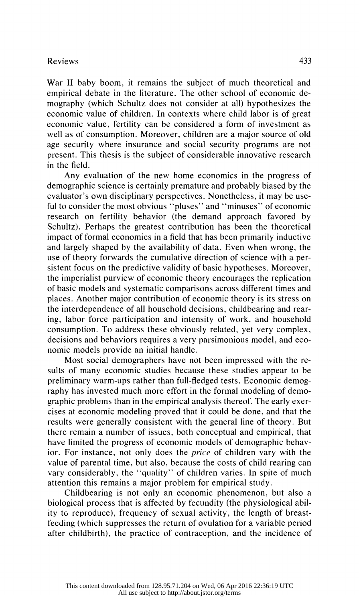War II baby boom, it remains the subject of much theoretical and empirical debate in the literature. The other school of economic de mography (which Schultz does not consider at all) hypothesizes the economic value of children. In contexts where child labor is of great economic value, fertility can be considered a form of investment as well as of consumption. Moreover, children are a major source of old age security where insurance and social security programs are not present. This thesis is the subject of considerable innovative research in the field.

 Any evaluation of the new home economics in the progress of demographic science is certainly premature and probably biased by the evaluator's own disciplinary perspectives. Nonetheless, it may be use ful to consider the most obvious "pluses" and "minuses" of economic research on fertility behavior (the demand approach favored by Schultz). Perhaps the greatest contribution has been the theoretical impact of formal economics in a field that has been primarily inductive and largely shaped by the availability of data. Even when wrong, the use of theory forwards the cumulative direction of science with a per sistent focus on the predictive validity of basic hypotheses. Moreover, the imperialist purview of economic theory encourages the replication of basic models and systematic comparisons across different times and places. Another major contribution of economic theory is its stress on the interdependence of all household decisions, childbearing and rear ing, labor force participation and intensity of work, and household consumption. To address these obviously related, yet very complex, decisions and behaviors requires a very parsimonious model, and eco nomic models provide an initial handle.

 Most social demographers have not been impressed with the re sults of many economic studies because these studies appear to be preliminary warm-ups rather than full-fledged tests. Economic demog raphy has invested much more effort in the formal modeling of demo graphic problems than in the empirical analysis thereof. The early exer cises at economic modeling proved that it could be done, and that the results were generally consistent with the general line of theory. But there remain a number of issues, both conceptual and empirical, that have limited the progress of economic models of demographic behav ior. For instance, not only does the price of children vary with the value of parental time, but also, because the costs of child rearing can vary considerably, the "quality" of children varies. In spite of much attention this remains a major problem for empirical study.

 Childbearing is not only an economic phenomenon, but also a biological process that is affected by fecundity (the physiological abil ity to reproduce), frequency of sexual activity, the length of breast feeding (which suppresses the return of ovulation for a variable period after childbirth), the practice of contraception, and the incidence of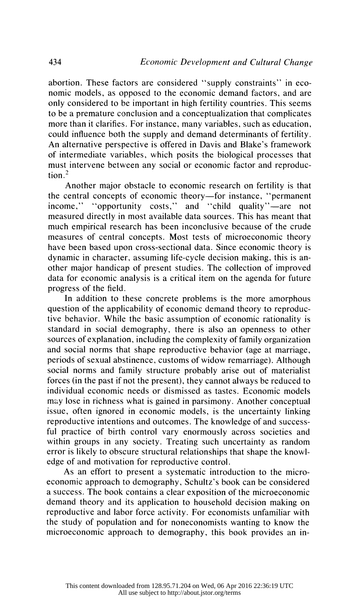abortion. These factors are considered "supply constraints" in eco nomic models, as opposed to the economic demand factors, and are only considered to be important in high fertility countries. This seems to be a premature conclusion and a conceptualization that complicates more than it clarifies. For instance, many variables, such as education, could influence both the supply and demand determinants of fertility. An alternative perspective is offered in Davis and Blake's framework of intermediate variables, which posits the biological processes that must intervene between any social or economic factor and reproduc tion $<sup>2</sup>$ </sup>

 Another major obstacle to economic research on fertility is that the central concepts of economic theory-for instance, "permanent income," "opportunity costs," and "child quality"-are not measured directly in most available data sources. This has meant that much empirical research has been inconclusive because of the crude measures of central concepts. Most tests of microeconomic theory have been based upon cross-sectional data. Since economic theory is dynamic in character, assuming life-cycle decision making, this is an other major handicap of present studies. The collection of improved data for economic analysis is a critical item on the agenda for future progress of the field.

 In addition to these concrete problems is the more amorphous question of the applicability of economic demand theory to reproduc tive behavior. While the basic assumption of economic rationality is standard in social demography, there is also an openness to other sources of explanation, including the complexity of family organization and social norms that shape reproductive behavior (age at marriage, periods of sexual abstinence, customs of widow remarriage). Although social norms and family structure probably arise out of materialist forces (in the past if not the present), they cannot always be reduced to individual economic needs or dismissed as tastes. Economic models may lose in richness what is gained in parsimony. Another conceptual issue, often ignored in economic models, is the uncertainty linking reproductive intentions and outcomes. The knowledge of and success ful practice of birth control vary enormously across societies and within groups in any society. Treating such uncertainty as random error is likely to obscure structural relationships that shape the knowl edge of and motivation for reproductive control.

 As an effort to present a systematic introduction to the micro economic approach to demography, Schultz's book can be considered a success. The book contains a clear exposition of the microeconomic demand theory and its application to household decision making on reproductive and labor force activity. For economists unfamiliar with the study of population and for noneconomists wanting to know the microeconomic approach to demography, this book provides an in-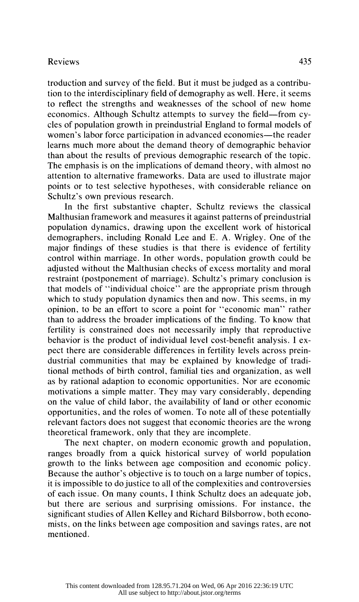troduction and survey of the field. But it must be judged as a contribu tion to the interdisciplinary field of demography as well. Here, it seems to reflect the strengths and weaknesses of the school of new home economics. Although Schultz attempts to survey the field-from cy cles of population growth in preindustrial England to formal models of women's labor force participation in advanced economies—the reader learns much more about the demand theory of demographic behavior than about the results of previous demographic research of the topic. The emphasis is on the implications of demand theory, with almost no attention to alternative frameworks. Data are used to illustrate major points or to test selective hypotheses, with considerable reliance on Schultz's own previous research.

 In the first substantive chapter, Schultz reviews the classical Malthusian framework and measures it against patterns of preindustrial population dynamics, drawing upon the excellent work of historical demographers, including Ronald Lee and E. A. Wrigley. One of the major findings of these studies is that there is evidence of fertility control within marriage. In other words, population growth could be adjusted without the Malthusian checks of excess mortality and moral restraint (postponement of marriage). Schultz's primary conclusion is that models of "individual choice" are the appropriate prism through which to study population dynamics then and now. This seems, in my opinion, to be an effort to score a point for "economic man" rather than to address the broader implications of the finding. To know that fertility is constrained does not necessarily imply that reproductive behavior is the product of individual level cost-benefit analysis. I ex pect there are considerable differences in fertility levels across prein dustrial communities that may be explained by knowledge of tradi tional methods of birth control, familial ties and organization, as well as by rational adaption to economic opportunities. Nor are economic motivations a simple matter. They may vary considerably, depending on the value of child labor, the availability of land or other economic opportunities, and the roles of women. To note all of these potentially relevant factors does not suggest that economic theories are the wrong theoretical framework, only that they are incomplete.

 The next chapter, on modern economic growth and population, ranges broadly from a quick historical survey of world population growth to the links between age composition and economic policy. Because the author's objective is to touch on a large number of topics, it is impossible to do justice to all of the complexities and controversies of each issue. On many counts, I think Schultz does an adequate job, but there are serious and surprising omissions. For instance, the significant studies of Allen Kelley and Richard Bilsborrow, both econo mists, on the links between age composition and savings rates, are not mentioned.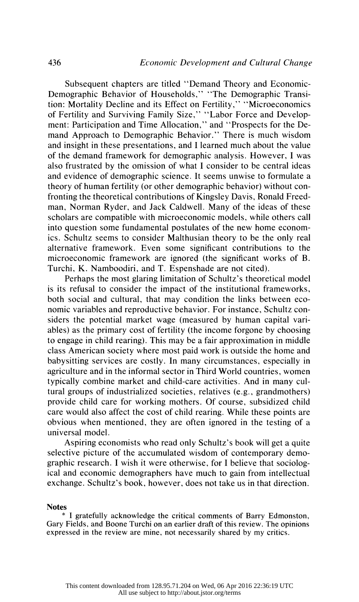Subsequent chapters are titled "Demand Theory and Economic- Demographic Behavior of Households," "The Demographic Transi tion: Mortality Decline and its Effect on Fertility," "Microeconomics of Fertility and Surviving Family Size," "Labor Force and Develop ment: Participation and Time Allocation," and "Prospects for the De mand Approach to Demographic Behavior." There is much wisdom and insight in these presentations, and I learned much about the value of the demand framework for demographic analysis. However, I was also frustrated by the omission of what I consider to be central ideas and evidence of demographic science. It seems unwise to formulate a theory of human fertility (or other demographic behavior) without con fronting the theoretical contributions of Kingsley Davis, Ronald Freed man, Norman Ryder, and Jack Caldwell. Many of the ideas of these scholars are compatible with microeconomic models, while others call into question some fundamental postulates of the new home econom ics. Schultz seems to consider Malthusian theory to be the only real alternative framework. Even some significant contributions to the microeconomic framework are ignored (the significant works of B. Turchi, K. Namboodiri, and T. Espenshade are not cited).

 Perhaps the most glaring limitation of Schultz's theoretical model is its refusal to consider the impact of the institutional frameworks, both social and cultural, that may condition the links between eco nomic variables and reproductive behavior. For instance, Schultz con siders the potential market wage (measured by human capital vari ables) as the primary cost of fertility (the income forgone by choosing to engage in child rearing). This may be a fair approximation in middle class American society where most paid work is outside the home and babysitting services are costly. In many circumstances, especially in agriculture and in the informal sector in Third World countries, women typically combine market and child-care activities. And in many cul tural groups of industrialized societies, relatives (e.g., grandmothers) provide child care for working mothers. Of course, subsidized child care would also affect the cost of child rearing. While these points are obvious when mentioned, they are often ignored in the testing of a universal model.

 Aspiring economists who read only Schultz's book will get a quite selective picture of the accumulated wisdom of contemporary demo graphic research. I wish it were otherwise, for I believe that sociolog ical and economic demographers have much to gain from intellectual exchange. Schultz's book, however, does not take us in that direction.

### Notes

 \* I gratefully acknowledge the critical comments of Barry Edmonston, Gary Fields, and Boone Turchi on an earlier draft of this review. The opinions expressed in the review are mine, not necessarily shared by my critics.